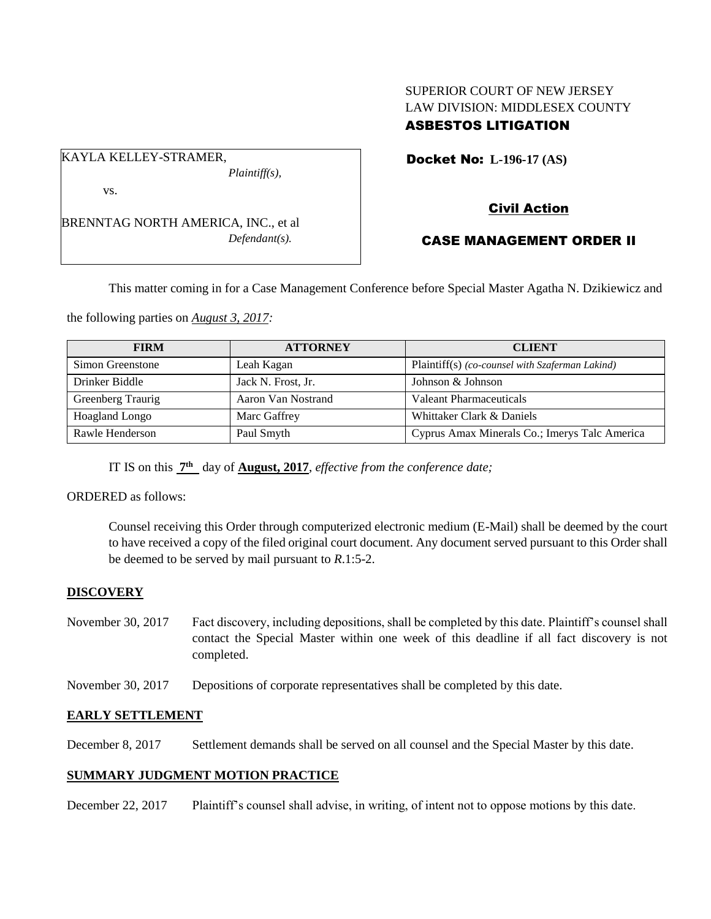## SUPERIOR COURT OF NEW JERSEY LAW DIVISION: MIDDLESEX COUNTY ASBESTOS LITIGATION

Docket No: **L-196-17 (AS)** 

## vs.

KAYLA KELLEY-STRAMER,

BRENNTAG NORTH AMERICA, INC., et al *Defendant(s).*

*Plaintiff(s),*

# Civil Action

## CASE MANAGEMENT ORDER II

This matter coming in for a Case Management Conference before Special Master Agatha N. Dzikiewicz and

the following parties on *August 3, 2017:*

| <b>FIRM</b>           | <b>ATTORNEY</b>    | <b>CLIENT</b>                                   |
|-----------------------|--------------------|-------------------------------------------------|
| Simon Greenstone      | Leah Kagan         | Plaintiff(s) (co-counsel with Szaferman Lakind) |
| Drinker Biddle        | Jack N. Frost, Jr. | Johnson & Johnson                               |
| Greenberg Traurig     | Aaron Van Nostrand | Valeant Pharmaceuticals                         |
| <b>Hoagland Longo</b> | Marc Gaffrey       | Whittaker Clark & Daniels                       |
| Rawle Henderson       | Paul Smyth         | Cyprus Amax Minerals Co.; Imerys Talc America   |

IT IS on this  $\frac{7^{\text{th}}}{7^{\text{th}}}$  day of **August, 2017**, *effective from the conference date*;

ORDERED as follows:

Counsel receiving this Order through computerized electronic medium (E-Mail) shall be deemed by the court to have received a copy of the filed original court document. Any document served pursuant to this Order shall be deemed to be served by mail pursuant to *R*.1:5-2.

### **DISCOVERY**

- November 30, 2017 Fact discovery, including depositions, shall be completed by this date. Plaintiff's counsel shall contact the Special Master within one week of this deadline if all fact discovery is not completed.
- November 30, 2017 Depositions of corporate representatives shall be completed by this date.

### **EARLY SETTLEMENT**

December 8, 2017 Settlement demands shall be served on all counsel and the Special Master by this date.

### **SUMMARY JUDGMENT MOTION PRACTICE**

December 22, 2017 Plaintiff's counsel shall advise, in writing, of intent not to oppose motions by this date.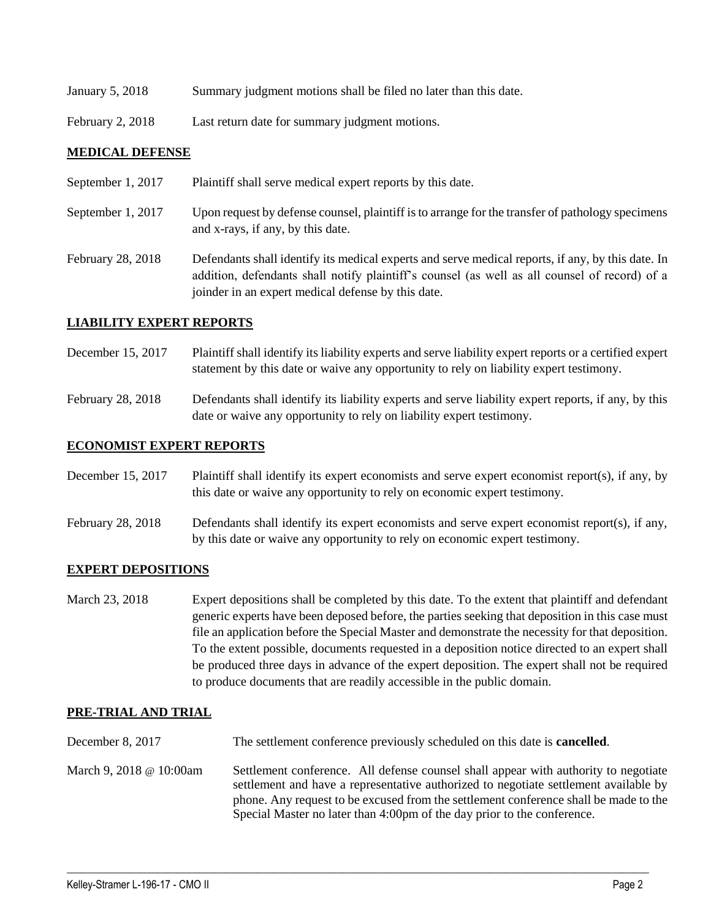| January 5, 2018 |  |  |  | Summary judgment motions shall be filed no later than this date. |
|-----------------|--|--|--|------------------------------------------------------------------|
|                 |  |  |  |                                                                  |

February 2, 2018 Last return date for summary judgment motions.

#### **MEDICAL DEFENSE**

| September 1, 2017 | Plaintiff shall serve medical expert reports by this date.                                                                                                                                                                                               |
|-------------------|----------------------------------------------------------------------------------------------------------------------------------------------------------------------------------------------------------------------------------------------------------|
| September 1, 2017 | Upon request by defense counsel, plaintiff is to arrange for the transfer of pathology specimens<br>and x-rays, if any, by this date.                                                                                                                    |
| February 28, 2018 | Defendants shall identify its medical experts and serve medical reports, if any, by this date. In<br>addition, defendants shall notify plaintiff's counsel (as well as all counsel of record) of a<br>joinder in an expert medical defense by this date. |

#### **LIABILITY EXPERT REPORTS**

- December 15, 2017 Plaintiff shall identify its liability experts and serve liability expert reports or a certified expert statement by this date or waive any opportunity to rely on liability expert testimony.
- February 28, 2018 Defendants shall identify its liability experts and serve liability expert reports, if any, by this date or waive any opportunity to rely on liability expert testimony.

#### **ECONOMIST EXPERT REPORTS**

December 15, 2017 Plaintiff shall identify its expert economists and serve expert economist report(s), if any, by this date or waive any opportunity to rely on economic expert testimony.

February 28, 2018 Defendants shall identify its expert economists and serve expert economist report(s), if any, by this date or waive any opportunity to rely on economic expert testimony.

#### **EXPERT DEPOSITIONS**

March 23, 2018 Expert depositions shall be completed by this date. To the extent that plaintiff and defendant generic experts have been deposed before, the parties seeking that deposition in this case must file an application before the Special Master and demonstrate the necessity for that deposition. To the extent possible, documents requested in a deposition notice directed to an expert shall be produced three days in advance of the expert deposition. The expert shall not be required to produce documents that are readily accessible in the public domain.

### **PRE-TRIAL AND TRIAL**

- December 8, 2017 The settlement conference previously scheduled on this date is **cancelled**.
- March 9, 2018 @ 10:00am Settlement conference. All defense counsel shall appear with authority to negotiate settlement and have a representative authorized to negotiate settlement available by phone. Any request to be excused from the settlement conference shall be made to the Special Master no later than 4:00pm of the day prior to the conference.

 $\_$  ,  $\_$  ,  $\_$  ,  $\_$  ,  $\_$  ,  $\_$  ,  $\_$  ,  $\_$  ,  $\_$  ,  $\_$  ,  $\_$  ,  $\_$  ,  $\_$  ,  $\_$  ,  $\_$  ,  $\_$  ,  $\_$  ,  $\_$  ,  $\_$  ,  $\_$  ,  $\_$  ,  $\_$  ,  $\_$  ,  $\_$  ,  $\_$  ,  $\_$  ,  $\_$  ,  $\_$  ,  $\_$  ,  $\_$  ,  $\_$  ,  $\_$  ,  $\_$  ,  $\_$  ,  $\_$  ,  $\_$  ,  $\_$  ,